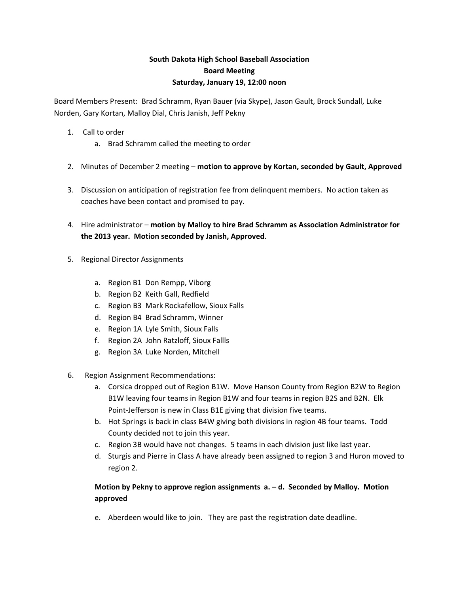## **South Dakota High School Baseball Association Board Meeting Saturday, January 19, 12:00 noon**

Board Members Present: Brad Schramm, Ryan Bauer (via Skype), Jason Gault, Brock Sundall, Luke Norden, Gary Kortan, Malloy Dial, Chris Janish, Jeff Pekny

- 1. Call to order
	- a. Brad Schramm called the meeting to order
- 2. Minutes of December 2 meeting **motion to approve by Kortan, seconded by Gault, Approved**
- 3. Discussion on anticipation of registration fee from delinquent members. No action taken as coaches have been contact and promised to pay.
- 4. Hire administrator **motion by Malloy to hire Brad Schramm as Association Administrator for the 2013 year. Motion seconded by Janish, Approved**.
- 5. Regional Director Assignments
	- a. Region B1 Don Rempp, Viborg
	- b. Region B2 Keith Gall, Redfield
	- c. Region B3 Mark Rockafellow, Sioux Falls
	- d. Region B4 Brad Schramm, Winner
	- e. Region 1A Lyle Smith, Sioux Falls
	- f. Region 2A John Ratzloff, Sioux Fallls
	- g. Region 3A Luke Norden, Mitchell
- 6. Region Assignment Recommendations:
	- a. Corsica dropped out of Region B1W. Move Hanson County from Region B2W to Region B1W leaving four teams in Region B1W and four teams in region B2S and B2N. Elk Point‐Jefferson is new in Class B1E giving that division five teams.
	- b. Hot Springs is back in class B4W giving both divisions in region 4B four teams. Todd County decided not to join this year.
	- c. Region 3B would have not changes. 5 teams in each division just like last year.
	- d. Sturgis and Pierre in Class A have already been assigned to region 3 and Huron moved to region 2.

## **Motion by Pekny to approve region assignments a. – d. Seconded by Malloy. Motion approved**

e. Aberdeen would like to join. They are past the registration date deadline.